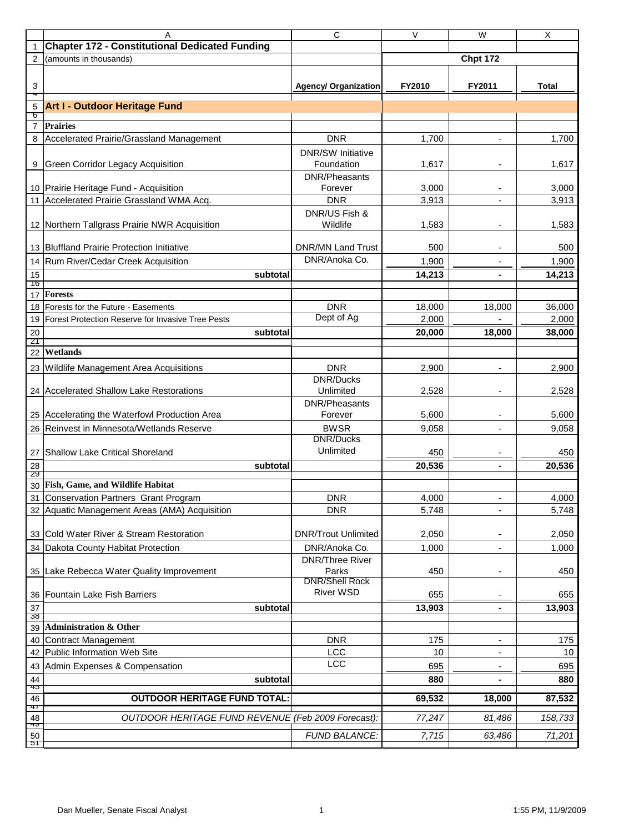|                 | A                                                     | C                                       | $\vee$ | $\overline{W}$           | $\overline{\mathsf{x}}$ |
|-----------------|-------------------------------------------------------|-----------------------------------------|--------|--------------------------|-------------------------|
|                 | <b>Chapter 172 - Constitutional Dedicated Funding</b> |                                         |        |                          |                         |
| $\overline{2}$  | (amounts in thousands)                                |                                         |        | <b>Chpt 172</b>          |                         |
|                 |                                                       |                                         |        |                          |                         |
| 3<br>4          |                                                       | <b>Agency/ Organization</b>             | FY2010 | FY2011                   | <b>Total</b>            |
| 5               | <b>Art I - Outdoor Heritage Fund</b>                  |                                         |        |                          |                         |
| წ               |                                                       |                                         |        |                          |                         |
| $\overline{7}$  | <b>Prairies</b>                                       |                                         |        |                          |                         |
| 8               | Accelerated Prairie/Grassland Management              | <b>DNR</b>                              | 1,700  | $\overline{\phantom{a}}$ | 1,700                   |
| 9               | <b>Green Corridor Legacy Acquisition</b>              | <b>DNR/SW Initiative</b><br>Foundation  | 1,617  | $\overline{\phantom{a}}$ | 1,617                   |
|                 |                                                       | <b>DNR/Pheasants</b>                    |        |                          |                         |
|                 | 10 Prairie Heritage Fund - Acquisition                | Forever                                 | 3,000  | $\overline{\phantom{a}}$ | 3,000                   |
| 11              | Accelerated Prairie Grassland WMA Acq.                | <b>DNR</b>                              | 3,913  | $\overline{a}$           | 3,913                   |
|                 |                                                       | DNR/US Fish &                           |        |                          |                         |
|                 | 12 Northern Tallgrass Prairie NWR Acquisition         | Wildlife                                | 1,583  | $\blacksquare$           | 1,583                   |
|                 | 13 Bluffland Prairie Protection Initiative            | <b>DNR/MN Land Trust</b>                | 500    | $\overline{a}$           | 500                     |
| 14              | Rum River/Cedar Creek Acquisition                     | DNR/Anoka Co.                           | 1,900  |                          | 1,900                   |
| 15              | subtotal                                              |                                         | 14,213 |                          | 14,213                  |
| Tb              |                                                       |                                         |        |                          |                         |
| 17              | <b>Forests</b>                                        |                                         |        |                          |                         |
| 18              | Forests for the Future - Easements                    | <b>DNR</b>                              | 18,000 | 18,000                   | 36,000                  |
| 19              | Forest Protection Reserve for Invasive Tree Pests     | Dept of Ag                              | 2,000  |                          | 2,000                   |
| 20              | subtotal                                              |                                         | 20,000 | 18.000                   | 38,000                  |
| 21<br>22        | Wetlands                                              |                                         |        |                          |                         |
|                 |                                                       |                                         |        |                          |                         |
|                 | 23 Wildlife Management Area Acquisitions              | <b>DNR</b><br><b>DNR/Ducks</b>          | 2,900  | $\blacksquare$           | 2,900                   |
|                 | 24 Accelerated Shallow Lake Restorations              | Unlimited                               | 2,528  | $\overline{\phantom{a}}$ | 2,528                   |
|                 |                                                       | <b>DNR/Pheasants</b>                    |        |                          |                         |
|                 | 25 Accelerating the Waterfowl Production Area         | Forever                                 | 5,600  | $\overline{\phantom{a}}$ | 5,600                   |
| 26              | Reinvest in Minnesota/Wetlands Reserve                | <b>BWSR</b>                             | 9,058  | $\overline{\phantom{a}}$ | 9,058                   |
|                 |                                                       | <b>DNR/Ducks</b>                        |        |                          |                         |
| 27              | <b>Shallow Lake Critical Shoreland</b>                | Unlimited                               | 450    |                          | 450                     |
| 28              | subtotal                                              |                                         | 20,536 |                          | 20,536                  |
| 29              |                                                       |                                         |        |                          |                         |
| 30              | Fish, Game, and Wildlife Habitat                      |                                         |        |                          |                         |
|                 | 31 Conservation Partners Grant Program                | <b>DNR</b>                              | 4,000  |                          | 4,000                   |
|                 | 32 Aquatic Management Areas (AMA) Acquisition         | <b>DNR</b>                              | 5,748  | $\blacksquare$           | 5,748                   |
|                 | 33 Cold Water River & Stream Restoration              | <b>DNR/Trout Unlimited</b>              | 2,050  |                          | 2,050                   |
| 34              | Dakota County Habitat Protection                      | DNR/Anoka Co.<br><b>DNR/Three River</b> | 1,000  | $\blacksquare$           | 1,000                   |
| 35 <sup>2</sup> | Lake Rebecca Water Quality Improvement                | Parks                                   | 450    | $\overline{\phantom{a}}$ | 450                     |
|                 |                                                       | <b>DNR/Shell Rock</b>                   |        |                          |                         |
| 36              | <b>Fountain Lake Fish Barriers</b>                    | <b>River WSD</b>                        | 655    |                          | 655                     |
| 37<br>38        | subtotal                                              |                                         | 13,903 |                          | 13,903                  |
| 39 I            | <b>Administration &amp; Other</b>                     |                                         |        |                          |                         |
| 40              | <b>Contract Management</b>                            | <b>DNR</b>                              | 175    |                          | 175                     |
|                 | 42 Public Information Web Site                        | LCC                                     | 10     |                          | 10                      |
| 43              | Admin Expenses & Compensation                         | <b>LCC</b>                              | 695    | ٠                        | 695                     |
| 44              | subtotal                                              |                                         | 880    |                          | 880                     |
| 40              |                                                       |                                         |        |                          |                         |
| 46<br>47        | <b>OUTDOOR HERITAGE FUND TOTAL:</b>                   |                                         | 69,532 | 18,000                   | 87,532                  |
| 48<br>49        | OUTDOOR HERITAGE FUND REVENUE (Feb 2009 Forecast):    |                                         | 77,247 | 81,486                   | 158,733                 |
| 50<br>דכ        |                                                       | <b>FUND BALANCE:</b>                    | 7,715  | 63,486                   | 71,201                  |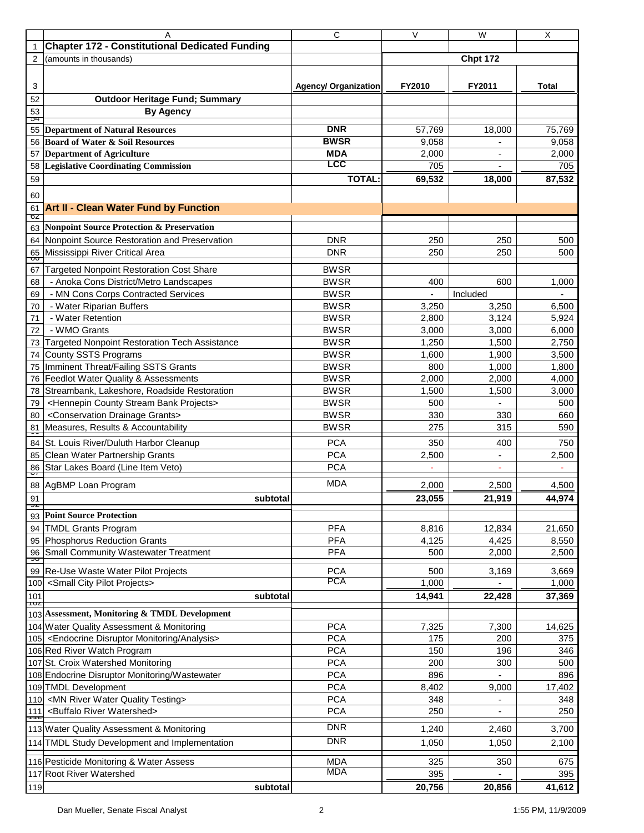|                | Α                                                                  | C                           | $\vee$ | $\overline{W}$  | X              |
|----------------|--------------------------------------------------------------------|-----------------------------|--------|-----------------|----------------|
| 1              | <b>Chapter 172 - Constitutional Dedicated Funding</b>              |                             |        |                 |                |
| $\overline{2}$ | (amounts in thousands)                                             |                             |        | <b>Chpt 172</b> |                |
|                |                                                                    |                             |        |                 |                |
| 3              |                                                                    | <b>Agency/ Organization</b> | FY2010 | FY2011          | Total          |
| 52             | <b>Outdoor Heritage Fund; Summary</b>                              |                             |        |                 |                |
| 53             | <b>By Agency</b>                                                   |                             |        |                 |                |
| Э4             |                                                                    |                             |        |                 |                |
|                | 55 Department of Natural Resources                                 | <b>DNR</b>                  | 57,769 | 18,000          | 75,769         |
| 56             | <b>Board of Water &amp; Soil Resources</b>                         | <b>BWSR</b>                 | 9,058  |                 | 9,058          |
| 57             | <b>Department of Agriculture</b>                                   | <b>MDA</b>                  | 2,000  |                 | 2,000          |
| 58             | <b>Legislative Coordinating Commission</b>                         | <b>LCC</b>                  | 705    | $\blacksquare$  | 705            |
| 59             |                                                                    | <b>TOTAL:</b>               | 69,532 | 18,000          | 87,532         |
| 60             |                                                                    |                             |        |                 |                |
| 61             | <b>Art II - Clean Water Fund by Function</b>                       |                             |        |                 |                |
| σZ             |                                                                    |                             |        |                 |                |
| 63             | <b>Nonpoint Source Protection &amp; Preservation</b>               |                             |        |                 |                |
| 64             | Nonpoint Source Restoration and Preservation                       | <b>DNR</b>                  | 250    | 250             | 500            |
| 65<br>oo       | Mississippi River Critical Area                                    | <b>DNR</b>                  | 250    | 250             | 500            |
| 67             | <b>Targeted Nonpoint Restoration Cost Share</b>                    | <b>BWSR</b>                 |        |                 |                |
| 68             | - Anoka Cons District/Metro Landscapes                             | <b>BWSR</b>                 | 400    | 600             | 1,000          |
| 69             | - MN Cons Corps Contracted Services                                | <b>BWSR</b>                 |        | Included        |                |
| 70             | - Water Riparian Buffers                                           | <b>BWSR</b>                 | 3,250  | 3,250           | 6,500          |
| 71             | - Water Retention                                                  | <b>BWSR</b>                 | 2,800  | 3,124           | 5,924          |
| 72             | - WMO Grants                                                       | <b>BWSR</b>                 | 3,000  | 3,000           | 6,000          |
| 73             | <b>Targeted Nonpoint Restoration Tech Assistance</b>               | <b>BWSR</b>                 | 1,250  | 1,500           | 2,750          |
| 74             | <b>County SSTS Programs</b>                                        | <b>BWSR</b>                 | 1,600  | 1,900           | 3,500          |
| 75             | Imminent Threat/Failing SSTS Grants                                | <b>BWSR</b>                 | 800    | 1,000           | 1,800          |
| 76             | Feedlot Water Quality & Assessments                                | <b>BWSR</b>                 | 2,000  | 2,000           | 4,000          |
| 78             | Streambank, Lakeshore, Roadside Restoration                        | <b>BWSR</b>                 | 1,500  | 1,500           | 3,000          |
| 79             | <hennepin bank="" county="" projects="" stream=""></hennepin>      | <b>BWSR</b>                 | 500    |                 | 500            |
| 80             | <conservation drainage="" grants=""></conservation>                | <b>BWSR</b>                 | 330    | 330             | 660            |
| 81             | Measures, Results & Accountability                                 | <b>BWSR</b>                 | 275    | 315             | 590            |
| ᠊ᡂ<br>84       | St. Louis River/Duluth Harbor Cleanup                              | <b>PCA</b>                  | 350    | 400             | 750            |
| 85             | Clean Water Partnership Grants                                     | <b>PCA</b>                  | 2,500  | ÷.              | 2,500          |
| 86             | Star Lakes Board (Line Item Veto)                                  | <b>PCA</b>                  |        | ٠               | $\blacksquare$ |
| प              |                                                                    |                             |        |                 |                |
| 88             | AgBMP Loan Program                                                 | <b>MDA</b>                  | 2,000  | 2,500           | 4,500          |
| 91             | subtotal                                                           |                             | 23,055 | 21.919          | 44,974         |
| þ              | 93 Point Source Protection                                         |                             |        |                 |                |
|                | 94 TMDL Grants Program                                             | <b>PFA</b>                  | 8,816  | 12,834          | 21,650         |
|                | 95 Phosphorus Reduction Grants                                     | <b>PFA</b>                  | 4,125  | 4,425           | 8,550          |
| 96             | Small Community Wastewater Treatment                               | <b>PFA</b>                  | 500    | 2,000           | 2,500          |
| ೨೦             |                                                                    |                             |        |                 |                |
|                | 99 Re-Use Waste Water Pilot Projects                               | <b>PCA</b>                  | 500    | 3,169           | 3,669          |
| 100            | <small city="" pilot="" projects=""></small>                       | <b>PCA</b>                  | 1,000  |                 | 1,000          |
| 101            | subtotal                                                           |                             | 14,941 | 22,428          | 37,369         |
| TUZ            | 103 Assessment, Monitoring & TMDL Development                      |                             |        |                 |                |
|                | 104 Water Quality Assessment & Monitoring                          | <b>PCA</b>                  | 7,325  | 7,300           | 14,625         |
|                | 105 <endocrine analysis="" disruptor="" monitoring=""></endocrine> | <b>PCA</b>                  | 175    | 200             | 375            |
|                | 106 Red River Watch Program                                        | <b>PCA</b>                  | 150    | 196             | 346            |
|                | 107 St. Croix Watershed Monitoring                                 | <b>PCA</b>                  | 200    | 300             | 500            |
|                | 108 Endocrine Disruptor Monitoring/Wastewater                      | <b>PCA</b>                  | 896    |                 | 896            |
|                | 109 TMDL Development                                               | <b>PCA</b>                  | 8,402  | 9,000           | 17,402         |
|                | 110 <mn quality="" river="" testing="" water=""></mn>              | <b>PCA</b>                  | 348    |                 | 348            |
| 111            | <buffalo river="" watershed=""></buffalo>                          | <b>PCA</b>                  | 250    |                 | 250            |
| ᆩ              |                                                                    |                             |        |                 |                |
|                | 113 Water Quality Assessment & Monitoring                          | <b>DNR</b>                  | 1,240  | 2,460           | 3,700          |
|                | 114 TMDL Study Development and Implementation                      | <b>DNR</b>                  | 1,050  | 1,050           | 2,100          |
|                | 116 Pesticide Monitoring & Water Assess                            | <b>MDA</b>                  | 325    | 350             | 675            |
|                | 117 Root River Watershed                                           | <b>MDA</b>                  | 395    |                 | 395            |
| 119            | subtotal                                                           |                             | 20,756 | 20,856          | 41,612         |
|                |                                                                    |                             |        |                 |                |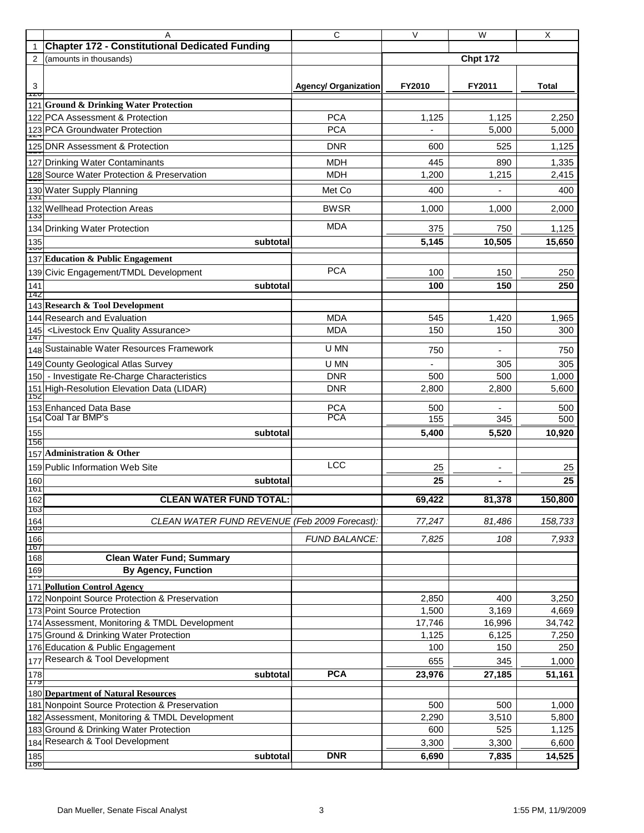| $\mathbf{1}$<br><b>Chpt 172</b><br>2<br>(amounts in thousands)<br>3<br>FY2011<br><b>Total</b><br><b>Agency/ Organization</b><br>FY2010<br>TZU<br>121 Ground & Drinking Water Protection<br><b>PCA</b><br>122 PCA Assessment & Protection<br>2,250<br>1,125<br>1,125<br><b>PCA</b><br>5,000<br>5,000<br>123 PCA Groundwater Protection<br>125 DNR Assessment & Protection<br><b>DNR</b><br>1,125<br>600<br>525<br>127 Drinking Water Contaminants<br><b>MDH</b><br>445<br>890<br>1,335<br>128 Source Water Protection & Preservation<br><b>MDH</b><br>1,200<br>1,215<br>2,415<br>130 Water Supply Planning<br>Met Co<br>400<br>400<br>⊤তা<br>132 Wellhead Protection Areas<br><b>BWSR</b><br>1,000<br>1,000<br>2,000<br>133<br><b>MDA</b><br>134 Drinking Water Protection<br>375<br>1,125<br>750<br>5,145<br>10,505<br>15,650<br>135<br>subtotal<br>᠇ᡂ<br>137 Education & Public Engagement<br><b>PCA</b><br>139 Civic Engagement/TMDL Development<br>100<br>150<br>250<br>100<br>150<br>250<br>141<br>subtotal<br>142<br>143 Research & Tool Development<br><b>MDA</b><br>144 Research and Evaluation<br>545<br>1,965<br>1,420<br><b>MDA</b><br>150<br>145 <livestock assurance="" env="" quality=""><br/>150<br/>300<br/>147<br/>148 Sustainable Water Resources Framework<br/>U MN<br/>750<br/>750<br/>U MN<br/>305<br/>149 County Geological Atlas Survey<br/>305<br/><b>DNR</b><br/>150 - Investigate Re-Charge Characteristics<br/>500<br/>1,000<br/>500<br/>151 High-Resolution Elevation Data (LIDAR)<br/><b>DNR</b><br/>2,800<br/>2,800<br/>5,600<br/>152<br/>153 Enhanced Data Base<br/><b>PCA</b><br/>500<br/>500<br/>154 Coal Tar BMP's<br/><b>PCA</b><br/>155<br/>345<br/>500<br/>5,400<br/>5,520<br/>10,920<br/>155<br/>subtotal<br/>156<br/><b>Administration &amp; Other</b><br/>157<br/><b>LCC</b><br/>159 Public Information Web Site<br/>25<br/>25<br/><math display="block">\qquad \qquad \blacksquare</math><br/>25<br/>25<br/>160<br/>subtotal<br/><math>\blacksquare</math><br/>161<br/>69,422<br/>150,800<br/>162<br/><b>CLEAN WATER FUND TOTAL:</b><br/>81,378<br/>163<br/>CLEAN WATER FUND REVENUE (Feb 2009 Forecast):<br/>77,247<br/>158,733<br/>164<br/>81,486<br/>၂၀၁<br/><b>FUND BALANCE:</b><br/>7,825<br/>7,933<br/>108<br/>166<br/>167<br/><b>Clean Water Fund; Summary</b><br/>168<br/><b>By Agency, Function</b><br/>169<br/><b>171 Pollution Control Agency</b><br/>172 Nonpoint Source Protection &amp; Preservation<br/>2,850<br/>400<br/>3,250<br/>173 Point Source Protection<br/>1,500<br/>3,169<br/>4,669<br/>174 Assessment, Monitoring &amp; TMDL Development<br/>17,746<br/>16,996<br/>34,742<br/>175 Ground &amp; Drinking Water Protection<br/>1,125<br/>6,125<br/>7,250<br/>176 Education &amp; Public Engagement<br/>100<br/>150<br/>250<br/>177 Research &amp; Tool Development<br/>655<br/>345<br/>1,000<br/><b>PCA</b><br/>178<br/>23,976<br/>27,185<br/>51,161<br/>subtotal<br/>179<br/><b>180 Department of Natural Resources</b><br/>181 Nonpoint Source Protection &amp; Preservation<br/>500<br/>500<br/>1,000<br/>182 Assessment, Monitoring &amp; TMDL Development<br/>2,290<br/>5,800<br/>3,510<br/>183 Ground &amp; Drinking Water Protection<br/>1,125<br/>600<br/>525<br/>184 Research &amp; Tool Development<br/>3,300<br/>3,300<br/>6,600<br/><b>DNR</b><br/>14,525<br/>6,690<br/>7,835<br/>185<br/>subtotal<br/>186</livestock> | A                                                     | C | V | W | X |
|----------------------------------------------------------------------------------------------------------------------------------------------------------------------------------------------------------------------------------------------------------------------------------------------------------------------------------------------------------------------------------------------------------------------------------------------------------------------------------------------------------------------------------------------------------------------------------------------------------------------------------------------------------------------------------------------------------------------------------------------------------------------------------------------------------------------------------------------------------------------------------------------------------------------------------------------------------------------------------------------------------------------------------------------------------------------------------------------------------------------------------------------------------------------------------------------------------------------------------------------------------------------------------------------------------------------------------------------------------------------------------------------------------------------------------------------------------------------------------------------------------------------------------------------------------------------------------------------------------------------------------------------------------------------------------------------------------------------------------------------------------------------------------------------------------------------------------------------------------------------------------------------------------------------------------------------------------------------------------------------------------------------------------------------------------------------------------------------------------------------------------------------------------------------------------------------------------------------------------------------------------------------------------------------------------------------------------------------------------------------------------------------------------------------------------------------------------------------------------------------------------------------------------------------------------------------------------------------------------------------------------------------------------------------------------------------------------------------------------------------------------------------------------------------------------------------------------------------------------------------------------------------------------------------------------------------------------------------------------------------------------------------------------------------------------------------------------------------------------------------------------------------------------------------------------------------------------------------------------------------------------------------------------------------------------------------------------------------------------------------------------------------------|-------------------------------------------------------|---|---|---|---|
|                                                                                                                                                                                                                                                                                                                                                                                                                                                                                                                                                                                                                                                                                                                                                                                                                                                                                                                                                                                                                                                                                                                                                                                                                                                                                                                                                                                                                                                                                                                                                                                                                                                                                                                                                                                                                                                                                                                                                                                                                                                                                                                                                                                                                                                                                                                                                                                                                                                                                                                                                                                                                                                                                                                                                                                                                                                                                                                                                                                                                                                                                                                                                                                                                                                                                                                                                                                                    | <b>Chapter 172 - Constitutional Dedicated Funding</b> |   |   |   |   |
|                                                                                                                                                                                                                                                                                                                                                                                                                                                                                                                                                                                                                                                                                                                                                                                                                                                                                                                                                                                                                                                                                                                                                                                                                                                                                                                                                                                                                                                                                                                                                                                                                                                                                                                                                                                                                                                                                                                                                                                                                                                                                                                                                                                                                                                                                                                                                                                                                                                                                                                                                                                                                                                                                                                                                                                                                                                                                                                                                                                                                                                                                                                                                                                                                                                                                                                                                                                                    |                                                       |   |   |   |   |
|                                                                                                                                                                                                                                                                                                                                                                                                                                                                                                                                                                                                                                                                                                                                                                                                                                                                                                                                                                                                                                                                                                                                                                                                                                                                                                                                                                                                                                                                                                                                                                                                                                                                                                                                                                                                                                                                                                                                                                                                                                                                                                                                                                                                                                                                                                                                                                                                                                                                                                                                                                                                                                                                                                                                                                                                                                                                                                                                                                                                                                                                                                                                                                                                                                                                                                                                                                                                    |                                                       |   |   |   |   |
|                                                                                                                                                                                                                                                                                                                                                                                                                                                                                                                                                                                                                                                                                                                                                                                                                                                                                                                                                                                                                                                                                                                                                                                                                                                                                                                                                                                                                                                                                                                                                                                                                                                                                                                                                                                                                                                                                                                                                                                                                                                                                                                                                                                                                                                                                                                                                                                                                                                                                                                                                                                                                                                                                                                                                                                                                                                                                                                                                                                                                                                                                                                                                                                                                                                                                                                                                                                                    |                                                       |   |   |   |   |
|                                                                                                                                                                                                                                                                                                                                                                                                                                                                                                                                                                                                                                                                                                                                                                                                                                                                                                                                                                                                                                                                                                                                                                                                                                                                                                                                                                                                                                                                                                                                                                                                                                                                                                                                                                                                                                                                                                                                                                                                                                                                                                                                                                                                                                                                                                                                                                                                                                                                                                                                                                                                                                                                                                                                                                                                                                                                                                                                                                                                                                                                                                                                                                                                                                                                                                                                                                                                    |                                                       |   |   |   |   |
|                                                                                                                                                                                                                                                                                                                                                                                                                                                                                                                                                                                                                                                                                                                                                                                                                                                                                                                                                                                                                                                                                                                                                                                                                                                                                                                                                                                                                                                                                                                                                                                                                                                                                                                                                                                                                                                                                                                                                                                                                                                                                                                                                                                                                                                                                                                                                                                                                                                                                                                                                                                                                                                                                                                                                                                                                                                                                                                                                                                                                                                                                                                                                                                                                                                                                                                                                                                                    |                                                       |   |   |   |   |
|                                                                                                                                                                                                                                                                                                                                                                                                                                                                                                                                                                                                                                                                                                                                                                                                                                                                                                                                                                                                                                                                                                                                                                                                                                                                                                                                                                                                                                                                                                                                                                                                                                                                                                                                                                                                                                                                                                                                                                                                                                                                                                                                                                                                                                                                                                                                                                                                                                                                                                                                                                                                                                                                                                                                                                                                                                                                                                                                                                                                                                                                                                                                                                                                                                                                                                                                                                                                    |                                                       |   |   |   |   |
|                                                                                                                                                                                                                                                                                                                                                                                                                                                                                                                                                                                                                                                                                                                                                                                                                                                                                                                                                                                                                                                                                                                                                                                                                                                                                                                                                                                                                                                                                                                                                                                                                                                                                                                                                                                                                                                                                                                                                                                                                                                                                                                                                                                                                                                                                                                                                                                                                                                                                                                                                                                                                                                                                                                                                                                                                                                                                                                                                                                                                                                                                                                                                                                                                                                                                                                                                                                                    |                                                       |   |   |   |   |
|                                                                                                                                                                                                                                                                                                                                                                                                                                                                                                                                                                                                                                                                                                                                                                                                                                                                                                                                                                                                                                                                                                                                                                                                                                                                                                                                                                                                                                                                                                                                                                                                                                                                                                                                                                                                                                                                                                                                                                                                                                                                                                                                                                                                                                                                                                                                                                                                                                                                                                                                                                                                                                                                                                                                                                                                                                                                                                                                                                                                                                                                                                                                                                                                                                                                                                                                                                                                    |                                                       |   |   |   |   |
|                                                                                                                                                                                                                                                                                                                                                                                                                                                                                                                                                                                                                                                                                                                                                                                                                                                                                                                                                                                                                                                                                                                                                                                                                                                                                                                                                                                                                                                                                                                                                                                                                                                                                                                                                                                                                                                                                                                                                                                                                                                                                                                                                                                                                                                                                                                                                                                                                                                                                                                                                                                                                                                                                                                                                                                                                                                                                                                                                                                                                                                                                                                                                                                                                                                                                                                                                                                                    |                                                       |   |   |   |   |
|                                                                                                                                                                                                                                                                                                                                                                                                                                                                                                                                                                                                                                                                                                                                                                                                                                                                                                                                                                                                                                                                                                                                                                                                                                                                                                                                                                                                                                                                                                                                                                                                                                                                                                                                                                                                                                                                                                                                                                                                                                                                                                                                                                                                                                                                                                                                                                                                                                                                                                                                                                                                                                                                                                                                                                                                                                                                                                                                                                                                                                                                                                                                                                                                                                                                                                                                                                                                    |                                                       |   |   |   |   |
|                                                                                                                                                                                                                                                                                                                                                                                                                                                                                                                                                                                                                                                                                                                                                                                                                                                                                                                                                                                                                                                                                                                                                                                                                                                                                                                                                                                                                                                                                                                                                                                                                                                                                                                                                                                                                                                                                                                                                                                                                                                                                                                                                                                                                                                                                                                                                                                                                                                                                                                                                                                                                                                                                                                                                                                                                                                                                                                                                                                                                                                                                                                                                                                                                                                                                                                                                                                                    |                                                       |   |   |   |   |
|                                                                                                                                                                                                                                                                                                                                                                                                                                                                                                                                                                                                                                                                                                                                                                                                                                                                                                                                                                                                                                                                                                                                                                                                                                                                                                                                                                                                                                                                                                                                                                                                                                                                                                                                                                                                                                                                                                                                                                                                                                                                                                                                                                                                                                                                                                                                                                                                                                                                                                                                                                                                                                                                                                                                                                                                                                                                                                                                                                                                                                                                                                                                                                                                                                                                                                                                                                                                    |                                                       |   |   |   |   |
|                                                                                                                                                                                                                                                                                                                                                                                                                                                                                                                                                                                                                                                                                                                                                                                                                                                                                                                                                                                                                                                                                                                                                                                                                                                                                                                                                                                                                                                                                                                                                                                                                                                                                                                                                                                                                                                                                                                                                                                                                                                                                                                                                                                                                                                                                                                                                                                                                                                                                                                                                                                                                                                                                                                                                                                                                                                                                                                                                                                                                                                                                                                                                                                                                                                                                                                                                                                                    |                                                       |   |   |   |   |
|                                                                                                                                                                                                                                                                                                                                                                                                                                                                                                                                                                                                                                                                                                                                                                                                                                                                                                                                                                                                                                                                                                                                                                                                                                                                                                                                                                                                                                                                                                                                                                                                                                                                                                                                                                                                                                                                                                                                                                                                                                                                                                                                                                                                                                                                                                                                                                                                                                                                                                                                                                                                                                                                                                                                                                                                                                                                                                                                                                                                                                                                                                                                                                                                                                                                                                                                                                                                    |                                                       |   |   |   |   |
|                                                                                                                                                                                                                                                                                                                                                                                                                                                                                                                                                                                                                                                                                                                                                                                                                                                                                                                                                                                                                                                                                                                                                                                                                                                                                                                                                                                                                                                                                                                                                                                                                                                                                                                                                                                                                                                                                                                                                                                                                                                                                                                                                                                                                                                                                                                                                                                                                                                                                                                                                                                                                                                                                                                                                                                                                                                                                                                                                                                                                                                                                                                                                                                                                                                                                                                                                                                                    |                                                       |   |   |   |   |
|                                                                                                                                                                                                                                                                                                                                                                                                                                                                                                                                                                                                                                                                                                                                                                                                                                                                                                                                                                                                                                                                                                                                                                                                                                                                                                                                                                                                                                                                                                                                                                                                                                                                                                                                                                                                                                                                                                                                                                                                                                                                                                                                                                                                                                                                                                                                                                                                                                                                                                                                                                                                                                                                                                                                                                                                                                                                                                                                                                                                                                                                                                                                                                                                                                                                                                                                                                                                    |                                                       |   |   |   |   |
|                                                                                                                                                                                                                                                                                                                                                                                                                                                                                                                                                                                                                                                                                                                                                                                                                                                                                                                                                                                                                                                                                                                                                                                                                                                                                                                                                                                                                                                                                                                                                                                                                                                                                                                                                                                                                                                                                                                                                                                                                                                                                                                                                                                                                                                                                                                                                                                                                                                                                                                                                                                                                                                                                                                                                                                                                                                                                                                                                                                                                                                                                                                                                                                                                                                                                                                                                                                                    |                                                       |   |   |   |   |
|                                                                                                                                                                                                                                                                                                                                                                                                                                                                                                                                                                                                                                                                                                                                                                                                                                                                                                                                                                                                                                                                                                                                                                                                                                                                                                                                                                                                                                                                                                                                                                                                                                                                                                                                                                                                                                                                                                                                                                                                                                                                                                                                                                                                                                                                                                                                                                                                                                                                                                                                                                                                                                                                                                                                                                                                                                                                                                                                                                                                                                                                                                                                                                                                                                                                                                                                                                                                    |                                                       |   |   |   |   |
|                                                                                                                                                                                                                                                                                                                                                                                                                                                                                                                                                                                                                                                                                                                                                                                                                                                                                                                                                                                                                                                                                                                                                                                                                                                                                                                                                                                                                                                                                                                                                                                                                                                                                                                                                                                                                                                                                                                                                                                                                                                                                                                                                                                                                                                                                                                                                                                                                                                                                                                                                                                                                                                                                                                                                                                                                                                                                                                                                                                                                                                                                                                                                                                                                                                                                                                                                                                                    |                                                       |   |   |   |   |
|                                                                                                                                                                                                                                                                                                                                                                                                                                                                                                                                                                                                                                                                                                                                                                                                                                                                                                                                                                                                                                                                                                                                                                                                                                                                                                                                                                                                                                                                                                                                                                                                                                                                                                                                                                                                                                                                                                                                                                                                                                                                                                                                                                                                                                                                                                                                                                                                                                                                                                                                                                                                                                                                                                                                                                                                                                                                                                                                                                                                                                                                                                                                                                                                                                                                                                                                                                                                    |                                                       |   |   |   |   |
|                                                                                                                                                                                                                                                                                                                                                                                                                                                                                                                                                                                                                                                                                                                                                                                                                                                                                                                                                                                                                                                                                                                                                                                                                                                                                                                                                                                                                                                                                                                                                                                                                                                                                                                                                                                                                                                                                                                                                                                                                                                                                                                                                                                                                                                                                                                                                                                                                                                                                                                                                                                                                                                                                                                                                                                                                                                                                                                                                                                                                                                                                                                                                                                                                                                                                                                                                                                                    |                                                       |   |   |   |   |
|                                                                                                                                                                                                                                                                                                                                                                                                                                                                                                                                                                                                                                                                                                                                                                                                                                                                                                                                                                                                                                                                                                                                                                                                                                                                                                                                                                                                                                                                                                                                                                                                                                                                                                                                                                                                                                                                                                                                                                                                                                                                                                                                                                                                                                                                                                                                                                                                                                                                                                                                                                                                                                                                                                                                                                                                                                                                                                                                                                                                                                                                                                                                                                                                                                                                                                                                                                                                    |                                                       |   |   |   |   |
|                                                                                                                                                                                                                                                                                                                                                                                                                                                                                                                                                                                                                                                                                                                                                                                                                                                                                                                                                                                                                                                                                                                                                                                                                                                                                                                                                                                                                                                                                                                                                                                                                                                                                                                                                                                                                                                                                                                                                                                                                                                                                                                                                                                                                                                                                                                                                                                                                                                                                                                                                                                                                                                                                                                                                                                                                                                                                                                                                                                                                                                                                                                                                                                                                                                                                                                                                                                                    |                                                       |   |   |   |   |
|                                                                                                                                                                                                                                                                                                                                                                                                                                                                                                                                                                                                                                                                                                                                                                                                                                                                                                                                                                                                                                                                                                                                                                                                                                                                                                                                                                                                                                                                                                                                                                                                                                                                                                                                                                                                                                                                                                                                                                                                                                                                                                                                                                                                                                                                                                                                                                                                                                                                                                                                                                                                                                                                                                                                                                                                                                                                                                                                                                                                                                                                                                                                                                                                                                                                                                                                                                                                    |                                                       |   |   |   |   |
|                                                                                                                                                                                                                                                                                                                                                                                                                                                                                                                                                                                                                                                                                                                                                                                                                                                                                                                                                                                                                                                                                                                                                                                                                                                                                                                                                                                                                                                                                                                                                                                                                                                                                                                                                                                                                                                                                                                                                                                                                                                                                                                                                                                                                                                                                                                                                                                                                                                                                                                                                                                                                                                                                                                                                                                                                                                                                                                                                                                                                                                                                                                                                                                                                                                                                                                                                                                                    |                                                       |   |   |   |   |
|                                                                                                                                                                                                                                                                                                                                                                                                                                                                                                                                                                                                                                                                                                                                                                                                                                                                                                                                                                                                                                                                                                                                                                                                                                                                                                                                                                                                                                                                                                                                                                                                                                                                                                                                                                                                                                                                                                                                                                                                                                                                                                                                                                                                                                                                                                                                                                                                                                                                                                                                                                                                                                                                                                                                                                                                                                                                                                                                                                                                                                                                                                                                                                                                                                                                                                                                                                                                    |                                                       |   |   |   |   |
|                                                                                                                                                                                                                                                                                                                                                                                                                                                                                                                                                                                                                                                                                                                                                                                                                                                                                                                                                                                                                                                                                                                                                                                                                                                                                                                                                                                                                                                                                                                                                                                                                                                                                                                                                                                                                                                                                                                                                                                                                                                                                                                                                                                                                                                                                                                                                                                                                                                                                                                                                                                                                                                                                                                                                                                                                                                                                                                                                                                                                                                                                                                                                                                                                                                                                                                                                                                                    |                                                       |   |   |   |   |
|                                                                                                                                                                                                                                                                                                                                                                                                                                                                                                                                                                                                                                                                                                                                                                                                                                                                                                                                                                                                                                                                                                                                                                                                                                                                                                                                                                                                                                                                                                                                                                                                                                                                                                                                                                                                                                                                                                                                                                                                                                                                                                                                                                                                                                                                                                                                                                                                                                                                                                                                                                                                                                                                                                                                                                                                                                                                                                                                                                                                                                                                                                                                                                                                                                                                                                                                                                                                    |                                                       |   |   |   |   |
|                                                                                                                                                                                                                                                                                                                                                                                                                                                                                                                                                                                                                                                                                                                                                                                                                                                                                                                                                                                                                                                                                                                                                                                                                                                                                                                                                                                                                                                                                                                                                                                                                                                                                                                                                                                                                                                                                                                                                                                                                                                                                                                                                                                                                                                                                                                                                                                                                                                                                                                                                                                                                                                                                                                                                                                                                                                                                                                                                                                                                                                                                                                                                                                                                                                                                                                                                                                                    |                                                       |   |   |   |   |
|                                                                                                                                                                                                                                                                                                                                                                                                                                                                                                                                                                                                                                                                                                                                                                                                                                                                                                                                                                                                                                                                                                                                                                                                                                                                                                                                                                                                                                                                                                                                                                                                                                                                                                                                                                                                                                                                                                                                                                                                                                                                                                                                                                                                                                                                                                                                                                                                                                                                                                                                                                                                                                                                                                                                                                                                                                                                                                                                                                                                                                                                                                                                                                                                                                                                                                                                                                                                    |                                                       |   |   |   |   |
|                                                                                                                                                                                                                                                                                                                                                                                                                                                                                                                                                                                                                                                                                                                                                                                                                                                                                                                                                                                                                                                                                                                                                                                                                                                                                                                                                                                                                                                                                                                                                                                                                                                                                                                                                                                                                                                                                                                                                                                                                                                                                                                                                                                                                                                                                                                                                                                                                                                                                                                                                                                                                                                                                                                                                                                                                                                                                                                                                                                                                                                                                                                                                                                                                                                                                                                                                                                                    |                                                       |   |   |   |   |
|                                                                                                                                                                                                                                                                                                                                                                                                                                                                                                                                                                                                                                                                                                                                                                                                                                                                                                                                                                                                                                                                                                                                                                                                                                                                                                                                                                                                                                                                                                                                                                                                                                                                                                                                                                                                                                                                                                                                                                                                                                                                                                                                                                                                                                                                                                                                                                                                                                                                                                                                                                                                                                                                                                                                                                                                                                                                                                                                                                                                                                                                                                                                                                                                                                                                                                                                                                                                    |                                                       |   |   |   |   |
|                                                                                                                                                                                                                                                                                                                                                                                                                                                                                                                                                                                                                                                                                                                                                                                                                                                                                                                                                                                                                                                                                                                                                                                                                                                                                                                                                                                                                                                                                                                                                                                                                                                                                                                                                                                                                                                                                                                                                                                                                                                                                                                                                                                                                                                                                                                                                                                                                                                                                                                                                                                                                                                                                                                                                                                                                                                                                                                                                                                                                                                                                                                                                                                                                                                                                                                                                                                                    |                                                       |   |   |   |   |
|                                                                                                                                                                                                                                                                                                                                                                                                                                                                                                                                                                                                                                                                                                                                                                                                                                                                                                                                                                                                                                                                                                                                                                                                                                                                                                                                                                                                                                                                                                                                                                                                                                                                                                                                                                                                                                                                                                                                                                                                                                                                                                                                                                                                                                                                                                                                                                                                                                                                                                                                                                                                                                                                                                                                                                                                                                                                                                                                                                                                                                                                                                                                                                                                                                                                                                                                                                                                    |                                                       |   |   |   |   |
|                                                                                                                                                                                                                                                                                                                                                                                                                                                                                                                                                                                                                                                                                                                                                                                                                                                                                                                                                                                                                                                                                                                                                                                                                                                                                                                                                                                                                                                                                                                                                                                                                                                                                                                                                                                                                                                                                                                                                                                                                                                                                                                                                                                                                                                                                                                                                                                                                                                                                                                                                                                                                                                                                                                                                                                                                                                                                                                                                                                                                                                                                                                                                                                                                                                                                                                                                                                                    |                                                       |   |   |   |   |
|                                                                                                                                                                                                                                                                                                                                                                                                                                                                                                                                                                                                                                                                                                                                                                                                                                                                                                                                                                                                                                                                                                                                                                                                                                                                                                                                                                                                                                                                                                                                                                                                                                                                                                                                                                                                                                                                                                                                                                                                                                                                                                                                                                                                                                                                                                                                                                                                                                                                                                                                                                                                                                                                                                                                                                                                                                                                                                                                                                                                                                                                                                                                                                                                                                                                                                                                                                                                    |                                                       |   |   |   |   |
|                                                                                                                                                                                                                                                                                                                                                                                                                                                                                                                                                                                                                                                                                                                                                                                                                                                                                                                                                                                                                                                                                                                                                                                                                                                                                                                                                                                                                                                                                                                                                                                                                                                                                                                                                                                                                                                                                                                                                                                                                                                                                                                                                                                                                                                                                                                                                                                                                                                                                                                                                                                                                                                                                                                                                                                                                                                                                                                                                                                                                                                                                                                                                                                                                                                                                                                                                                                                    |                                                       |   |   |   |   |
|                                                                                                                                                                                                                                                                                                                                                                                                                                                                                                                                                                                                                                                                                                                                                                                                                                                                                                                                                                                                                                                                                                                                                                                                                                                                                                                                                                                                                                                                                                                                                                                                                                                                                                                                                                                                                                                                                                                                                                                                                                                                                                                                                                                                                                                                                                                                                                                                                                                                                                                                                                                                                                                                                                                                                                                                                                                                                                                                                                                                                                                                                                                                                                                                                                                                                                                                                                                                    |                                                       |   |   |   |   |
|                                                                                                                                                                                                                                                                                                                                                                                                                                                                                                                                                                                                                                                                                                                                                                                                                                                                                                                                                                                                                                                                                                                                                                                                                                                                                                                                                                                                                                                                                                                                                                                                                                                                                                                                                                                                                                                                                                                                                                                                                                                                                                                                                                                                                                                                                                                                                                                                                                                                                                                                                                                                                                                                                                                                                                                                                                                                                                                                                                                                                                                                                                                                                                                                                                                                                                                                                                                                    |                                                       |   |   |   |   |
|                                                                                                                                                                                                                                                                                                                                                                                                                                                                                                                                                                                                                                                                                                                                                                                                                                                                                                                                                                                                                                                                                                                                                                                                                                                                                                                                                                                                                                                                                                                                                                                                                                                                                                                                                                                                                                                                                                                                                                                                                                                                                                                                                                                                                                                                                                                                                                                                                                                                                                                                                                                                                                                                                                                                                                                                                                                                                                                                                                                                                                                                                                                                                                                                                                                                                                                                                                                                    |                                                       |   |   |   |   |
|                                                                                                                                                                                                                                                                                                                                                                                                                                                                                                                                                                                                                                                                                                                                                                                                                                                                                                                                                                                                                                                                                                                                                                                                                                                                                                                                                                                                                                                                                                                                                                                                                                                                                                                                                                                                                                                                                                                                                                                                                                                                                                                                                                                                                                                                                                                                                                                                                                                                                                                                                                                                                                                                                                                                                                                                                                                                                                                                                                                                                                                                                                                                                                                                                                                                                                                                                                                                    |                                                       |   |   |   |   |
|                                                                                                                                                                                                                                                                                                                                                                                                                                                                                                                                                                                                                                                                                                                                                                                                                                                                                                                                                                                                                                                                                                                                                                                                                                                                                                                                                                                                                                                                                                                                                                                                                                                                                                                                                                                                                                                                                                                                                                                                                                                                                                                                                                                                                                                                                                                                                                                                                                                                                                                                                                                                                                                                                                                                                                                                                                                                                                                                                                                                                                                                                                                                                                                                                                                                                                                                                                                                    |                                                       |   |   |   |   |
|                                                                                                                                                                                                                                                                                                                                                                                                                                                                                                                                                                                                                                                                                                                                                                                                                                                                                                                                                                                                                                                                                                                                                                                                                                                                                                                                                                                                                                                                                                                                                                                                                                                                                                                                                                                                                                                                                                                                                                                                                                                                                                                                                                                                                                                                                                                                                                                                                                                                                                                                                                                                                                                                                                                                                                                                                                                                                                                                                                                                                                                                                                                                                                                                                                                                                                                                                                                                    |                                                       |   |   |   |   |
|                                                                                                                                                                                                                                                                                                                                                                                                                                                                                                                                                                                                                                                                                                                                                                                                                                                                                                                                                                                                                                                                                                                                                                                                                                                                                                                                                                                                                                                                                                                                                                                                                                                                                                                                                                                                                                                                                                                                                                                                                                                                                                                                                                                                                                                                                                                                                                                                                                                                                                                                                                                                                                                                                                                                                                                                                                                                                                                                                                                                                                                                                                                                                                                                                                                                                                                                                                                                    |                                                       |   |   |   |   |
|                                                                                                                                                                                                                                                                                                                                                                                                                                                                                                                                                                                                                                                                                                                                                                                                                                                                                                                                                                                                                                                                                                                                                                                                                                                                                                                                                                                                                                                                                                                                                                                                                                                                                                                                                                                                                                                                                                                                                                                                                                                                                                                                                                                                                                                                                                                                                                                                                                                                                                                                                                                                                                                                                                                                                                                                                                                                                                                                                                                                                                                                                                                                                                                                                                                                                                                                                                                                    |                                                       |   |   |   |   |
|                                                                                                                                                                                                                                                                                                                                                                                                                                                                                                                                                                                                                                                                                                                                                                                                                                                                                                                                                                                                                                                                                                                                                                                                                                                                                                                                                                                                                                                                                                                                                                                                                                                                                                                                                                                                                                                                                                                                                                                                                                                                                                                                                                                                                                                                                                                                                                                                                                                                                                                                                                                                                                                                                                                                                                                                                                                                                                                                                                                                                                                                                                                                                                                                                                                                                                                                                                                                    |                                                       |   |   |   |   |
|                                                                                                                                                                                                                                                                                                                                                                                                                                                                                                                                                                                                                                                                                                                                                                                                                                                                                                                                                                                                                                                                                                                                                                                                                                                                                                                                                                                                                                                                                                                                                                                                                                                                                                                                                                                                                                                                                                                                                                                                                                                                                                                                                                                                                                                                                                                                                                                                                                                                                                                                                                                                                                                                                                                                                                                                                                                                                                                                                                                                                                                                                                                                                                                                                                                                                                                                                                                                    |                                                       |   |   |   |   |
|                                                                                                                                                                                                                                                                                                                                                                                                                                                                                                                                                                                                                                                                                                                                                                                                                                                                                                                                                                                                                                                                                                                                                                                                                                                                                                                                                                                                                                                                                                                                                                                                                                                                                                                                                                                                                                                                                                                                                                                                                                                                                                                                                                                                                                                                                                                                                                                                                                                                                                                                                                                                                                                                                                                                                                                                                                                                                                                                                                                                                                                                                                                                                                                                                                                                                                                                                                                                    |                                                       |   |   |   |   |
|                                                                                                                                                                                                                                                                                                                                                                                                                                                                                                                                                                                                                                                                                                                                                                                                                                                                                                                                                                                                                                                                                                                                                                                                                                                                                                                                                                                                                                                                                                                                                                                                                                                                                                                                                                                                                                                                                                                                                                                                                                                                                                                                                                                                                                                                                                                                                                                                                                                                                                                                                                                                                                                                                                                                                                                                                                                                                                                                                                                                                                                                                                                                                                                                                                                                                                                                                                                                    |                                                       |   |   |   |   |
|                                                                                                                                                                                                                                                                                                                                                                                                                                                                                                                                                                                                                                                                                                                                                                                                                                                                                                                                                                                                                                                                                                                                                                                                                                                                                                                                                                                                                                                                                                                                                                                                                                                                                                                                                                                                                                                                                                                                                                                                                                                                                                                                                                                                                                                                                                                                                                                                                                                                                                                                                                                                                                                                                                                                                                                                                                                                                                                                                                                                                                                                                                                                                                                                                                                                                                                                                                                                    |                                                       |   |   |   |   |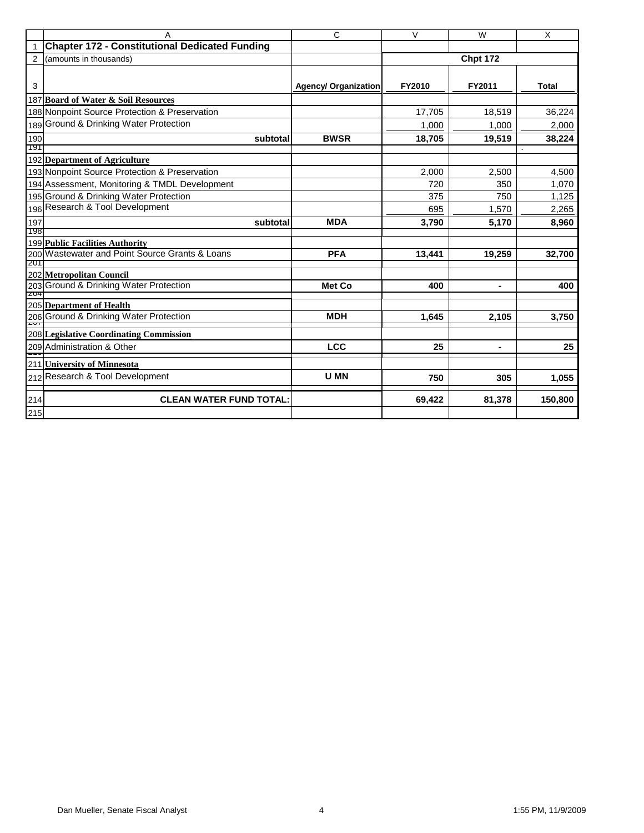|            | A                                                     | C                           | $\overline{\mathsf{v}}$ | $\overline{W}$  | $\overline{X}$ |
|------------|-------------------------------------------------------|-----------------------------|-------------------------|-----------------|----------------|
|            | <b>Chapter 172 - Constitutional Dedicated Funding</b> |                             |                         |                 |                |
| 2          | (amounts in thousands)                                |                             |                         | <b>Chpt 172</b> |                |
|            |                                                       |                             |                         |                 |                |
| 3          |                                                       | <b>Agency/ Organization</b> | FY2010                  | FY2011          | <b>Total</b>   |
|            | 187 Board of Water & Soil Resources                   |                             |                         |                 |                |
|            | 188 Nonpoint Source Protection & Preservation         |                             | 17,705                  | 18,519          | 36,224         |
| 189        | Ground & Drinking Water Protection                    |                             | 1.000                   | 1.000           | 2,000          |
| 190        | subtotal                                              | <b>BWSR</b>                 | 18,705                  | 19,519          | 38,224         |
| 191        |                                                       |                             |                         |                 |                |
|            | 192 Department of Agriculture                         |                             |                         |                 |                |
|            | 193 Nonpoint Source Protection & Preservation         |                             | 2.000                   | 2.500           | 4.500          |
|            | 194 Assessment, Monitoring & TMDL Development         |                             | 720                     | 350             | 1,070          |
|            | 195 Ground & Drinking Water Protection                |                             | 375                     | 750             | 1,125          |
| 196        | Research & Tool Development                           |                             | 695                     | 1,570           | 2,265          |
| 197        | subtotal                                              | <b>MDA</b>                  | 3,790                   | 5,170           | 8,960          |
| 198        |                                                       |                             |                         |                 |                |
|            | <b>199 Public Facilities Authority</b>                |                             |                         |                 |                |
| 201        | 200 Wastewater and Point Source Grants & Loans        | <b>PFA</b>                  | 13,441                  | 19,259          | 32,700         |
|            | 202 Metropolitan Council                              |                             |                         |                 |                |
|            | 203 Ground & Drinking Water Protection                | Met Co                      | 400                     | $\blacksquare$  | 400            |
| <b>ZU4</b> |                                                       |                             |                         |                 |                |
|            | 205 Department of Health                              |                             |                         |                 |                |
|            | 206 Ground & Drinking Water Protection                | <b>MDH</b>                  | 1,645                   | 2,105           | 3,750          |
|            | 208 Legislative Coordinating Commission               |                             |                         |                 |                |
|            | 209 Administration & Other                            | <b>LCC</b>                  | 25                      | ۰               | 25             |
|            | 211 University of Minnesota                           |                             |                         |                 |                |
|            | 212 Research & Tool Development                       | U MN                        | 750                     | 305             | 1,055          |
| 214        | <b>CLEAN WATER FUND TOTAL:</b>                        |                             | 69,422                  | 81,378          | 150,800        |
| 215        |                                                       |                             |                         |                 |                |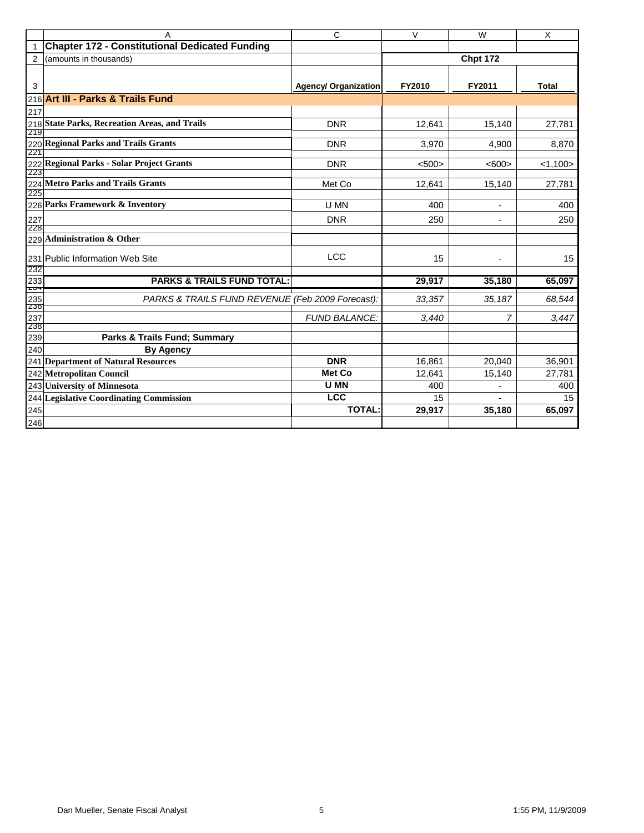|                | A                                                     | $\overline{\text{c}}$ | $\overline{V}$ | $\overline{W}$           | $\overline{X}$ |
|----------------|-------------------------------------------------------|-----------------------|----------------|--------------------------|----------------|
| $\mathbf{1}$   | <b>Chapter 172 - Constitutional Dedicated Funding</b> |                       |                |                          |                |
| $\overline{2}$ | (amounts in thousands)                                |                       |                | <b>Chpt 172</b>          |                |
|                |                                                       |                       |                |                          |                |
| 3              |                                                       | Agency/ Organization  | FY2010         | FY2011                   | <b>Total</b>   |
| 216            | <b>Art III - Parks &amp; Trails Fund</b>              |                       |                |                          |                |
| 217            |                                                       |                       |                |                          |                |
|                | 218 State Parks, Recreation Areas, and Trails         | <b>DNR</b>            | 12,641         | 15,140                   | 27,781         |
| 219            |                                                       |                       |                |                          |                |
| 221            | 220 Regional Parks and Trails Grants                  | <b>DNR</b>            | 3,970          | 4,900                    | 8,870          |
|                | 222 Regional Parks - Solar Project Grants             | <b>DNR</b>            | $500$          | < 600                    | < 1,100        |
| 223            |                                                       |                       |                |                          |                |
| 224            | <b>Metro Parks and Trails Grants</b>                  | Met Co                | 12,641         | 15,140                   | 27,781         |
| 225            |                                                       |                       |                |                          |                |
|                | 226 Parks Framework & Inventory                       | U MN                  | 400            |                          | 400            |
| 227            |                                                       | <b>DNR</b>            | 250            | $\overline{\phantom{a}}$ | 250            |
| 228            | 229 Administration & Other                            |                       |                |                          |                |
|                |                                                       |                       |                |                          |                |
|                | 231 Public Information Web Site                       | <b>LCC</b>            | 15             |                          | 15             |
| 232            |                                                       |                       |                |                          |                |
| 233<br>ZU-     | <b>PARKS &amp; TRAILS FUND TOTAL:</b>                 |                       | 29,917         | 35,180                   | 65,097         |
| 235            | PARKS & TRAILS FUND REVENUE (Feb 2009 Forecast):      |                       | 33,357         | 35,187                   | 68,544         |
| 236            |                                                       |                       |                |                          |                |
| 237<br>238     |                                                       | <b>FUND BALANCE:</b>  | 3,440          | 7                        | 3,447          |
| 239            | Parks & Trails Fund; Summary                          |                       |                |                          |                |
| 240            | <b>By Agency</b>                                      |                       |                |                          |                |
|                | 241 Department of Natural Resources                   | <b>DNR</b>            | 16,861         | 20,040                   | 36,901         |
|                | 242 Metropolitan Council                              | <b>Met Co</b>         | 12,641         | 15,140                   | 27,781         |
|                | 243 University of Minnesota                           | <b>U MN</b>           | 400            |                          | 400            |
|                | 244 Legislative Coordinating Commission               | <b>LCC</b>            | 15             |                          | 15             |
| 245            |                                                       | <b>TOTAL:</b>         | 29,917         | 35,180                   | 65,097         |
| 246            |                                                       |                       |                |                          |                |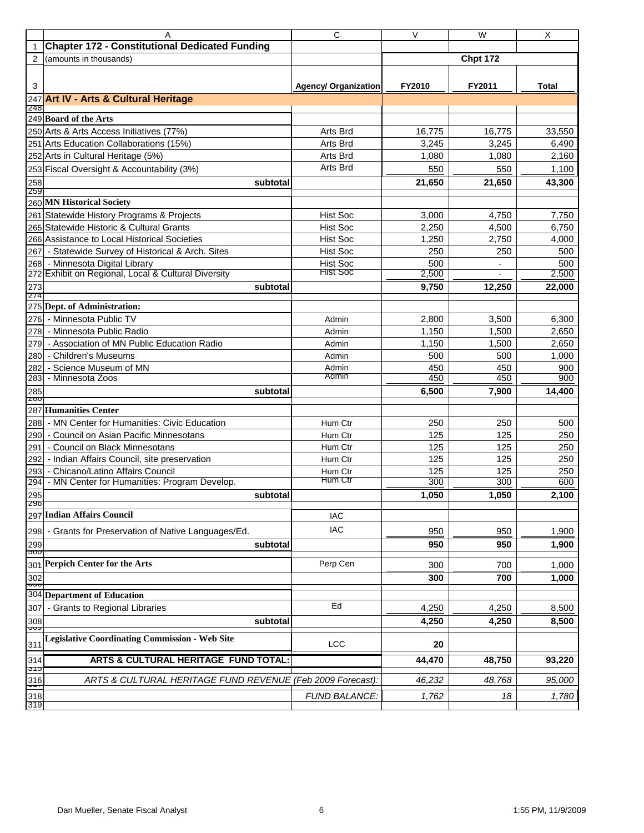|                 | Α                                                          | C                           | $\vee$ | W               | X      |
|-----------------|------------------------------------------------------------|-----------------------------|--------|-----------------|--------|
| $\mathbf{1}$    | <b>Chapter 172 - Constitutional Dedicated Funding</b>      |                             |        |                 |        |
| 2               | (amounts in thousands)                                     |                             |        | <b>Chpt 172</b> |        |
|                 |                                                            |                             |        |                 |        |
| 3               |                                                            | <b>Agency/ Organization</b> | FY2010 | FY2011          | Total  |
| 247             | <b>Art IV - Arts &amp; Cultural Heritage</b>               |                             |        |                 |        |
| 248             |                                                            |                             |        |                 |        |
|                 | 249 Board of the Arts                                      |                             |        |                 |        |
|                 | 250 Arts & Arts Access Initiatives (77%)                   | Arts Brd                    | 16,775 | 16,775          | 33,550 |
|                 | 251 Arts Education Collaborations (15%)                    | Arts Brd                    | 3,245  | 3,245           | 6,490  |
|                 | 252 Arts in Cultural Heritage (5%)                         | Arts Brd                    | 1,080  | 1,080           | 2,160  |
|                 | 253 Fiscal Oversight & Accountability (3%)                 | Arts Brd                    | 550    | 550             | 1,100  |
| 258             | subtotal                                                   |                             | 21,650 | 21,650          | 43,300 |
| 259             |                                                            |                             |        |                 |        |
|                 | 260 MN Historical Society                                  |                             |        |                 |        |
|                 | 261 Statewide History Programs & Projects                  | <b>Hist Soc</b>             | 3,000  | 4,750           | 7,750  |
|                 | 265 Statewide Historic & Cultural Grants                   | <b>Hist Soc</b>             | 2,250  | 4,500           | 6,750  |
|                 | 266 Assistance to Local Historical Societies               | <b>Hist Soc</b>             | 1,250  | 2,750           | 4,000  |
|                 | 267 - Statewide Survey of Historical & Arch. Sites         | <b>Hist Soc</b>             | 250    | 250             | 500    |
|                 | 268 - Minnesota Digital Library                            | <b>Hist Soc</b>             | 500    |                 | 500    |
|                 | 272 Exhibit on Regional, Local & Cultural Diversity        | <b>Hist Soc</b>             | 2,500  |                 | 2,500  |
| 273             | subtotal                                                   |                             | 9,750  | 12,250          | 22,000 |
| 274             |                                                            |                             |        |                 |        |
|                 | 275 Dept. of Administration:                               |                             |        |                 |        |
|                 | 276 - Minnesota Public TV                                  | Admin                       | 2,800  | 3,500           | 6,300  |
|                 | 278 - Minnesota Public Radio                               | Admin                       | 1,150  | 1,500           | 2,650  |
|                 | 279 - Association of MN Public Education Radio             | Admin                       | 1,150  | 1,500           | 2,650  |
|                 | 280 - Children's Museums                                   | Admin                       | 500    | 500             | 1,000  |
| 282             | - Science Museum of MN                                     | Admin                       | 450    | 450             | 900    |
| 283             | - Minnesota Zoos                                           | Admin                       | 450    | 450             | 900    |
| 285             | subtotal                                                   |                             | 6,500  | 7,900           | 14,400 |
| <b>Z00</b>      | 287 Humanities Center                                      |                             |        |                 |        |
|                 |                                                            |                             |        |                 |        |
| 288             | - MN Center for Humanities: Civic Education                | Hum Ctr                     | 250    | 250             | 500    |
|                 | 290 - Council on Asian Pacific Minnesotans                 | Hum Ctr                     | 125    | 125             | 250    |
|                 | 291 - Council on Black Minnesotans                         | Hum Ctr                     | 125    | 125             | 250    |
|                 | 292 - Indian Affairs Council, site preservation            | Hum Ctr                     | 125    | 125             | 250    |
|                 | 293 - Chicano/Latino Affairs Council                       | Hum Ctr<br>Hum Ctr          | 125    | 125             | 250    |
|                 | 294 - MN Center for Humanities: Program Develop.           |                             | 300    | 300             | 600    |
| 295<br>590      | subtotal                                                   |                             | 1,050  | 1,050           | 2,100  |
|                 | 297 Indian Affairs Council                                 | <b>IAC</b>                  |        |                 |        |
|                 |                                                            | <b>IAC</b>                  |        |                 |        |
| 298             | - Grants for Preservation of Native Languages/Ed.          |                             | 950    | 950             | 1,900  |
| 299<br>তত       | subtotal                                                   |                             | 950    | 950             | 1,900  |
| 301             | <b>Perpich Center for the Arts</b>                         | Perp Cen                    | 300    | 700             | 1,000  |
| 302             |                                                            |                             | 300    | 700             | 1,000  |
| ᠊ᡂ              |                                                            |                             |        |                 |        |
| 304             | <b>Department of Education</b>                             |                             |        |                 |        |
| 307             | - Grants to Regional Libraries                             | Ed                          | 4,250  | 4,250           | 8,500  |
| 308             | subtotal                                                   |                             | 4,250  | 4,250           | 8,500  |
| ᠊ᡂ              | <b>Legislative Coordinating Commission - Web Site</b>      |                             |        |                 |        |
| 311             |                                                            | <b>LCC</b>                  | 20     |                 |        |
| 314             | ARTS & CULTURAL HERITAGE FUND TOTAL:                       |                             | 44,470 | 48,750          | 93,220 |
| তাত             |                                                            |                             |        |                 |        |
| $\frac{316}{1}$ | ARTS & CULTURAL HERITAGE FUND REVENUE (Feb 2009 Forecast): |                             | 46,232 | 48,768          | 95,000 |
| 318             |                                                            | <b>FUND BALANCE:</b>        | 1,762  | 18              | 1,780  |
| 319             |                                                            |                             |        |                 |        |